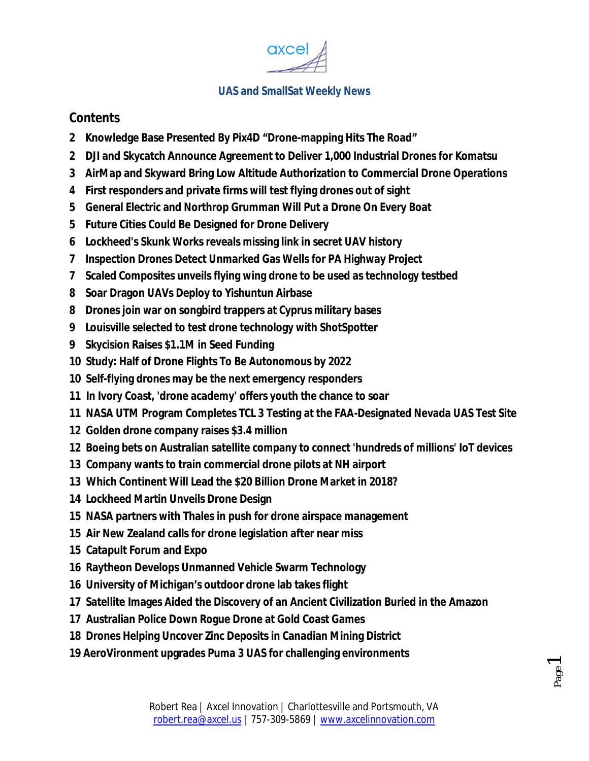

#### **Contents**

- **2 Knowledge Base Presented By Pix4D "Drone-mapping Hits The Road"**
- **2 DJI and Skycatch Announce Agreement to Deliver 1,000 Industrial Drones for Komatsu**
- **3 AirMap and Skyward Bring Low Altitude Authorization to Commercial Drone Operations**
- **4 First responders and private firms will test flying drones out of sight**
- **5 General Electric and Northrop Grumman Will Put a Drone On Every Boat**
- **5 Future Cities Could Be Designed for Drone Delivery**
- **6 Lockheed's Skunk Works reveals missing link in secret UAV history**
- **7 Inspection Drones Detect Unmarked Gas Wells for PA Highway Project**
- **7 Scaled Composites unveils flying wing drone to be used as technology testbed**
- **8 Soar Dragon UAVs Deploy to Yishuntun Airbase**
- **8 Drones join war on songbird trappers at Cyprus military bases**
- **9 Louisville selected to test drone technology with ShotSpotter**
- **9 Skycision Raises \$1.1M in Seed Funding**
- **10 Study: Half of Drone Flights To Be Autonomous by 2022**
- **10 Self-flying drones may be the next emergency responders**
- **11 In Ivory Coast, 'drone academy' offers youth the chance to soar**
- **11 NASA UTM Program Completes TCL 3 Testing at the FAA-Designated Nevada UAS Test Site**
- **12 Golden drone company raises \$3.4 million**
- **12 Boeing bets on Australian satellite company to connect 'hundreds of millions' IoT devices**
- **13 Company wants to train commercial drone pilots at NH airport**
- **13 Which Continent Will Lead the \$20 Billion Drone Market in 2018?**
- **14 Lockheed Martin Unveils Drone Design**
- **15 NASA partners with Thales in push for drone airspace management**
- **15 Air New Zealand calls for drone legislation after near miss**
- **15 Catapult Forum and Expo**
- **16 Raytheon Develops Unmanned Vehicle Swarm Technology**
- **16 University of Michigan's outdoor drone lab takes flight**
- **17 Satellite Images Aided the Discovery of an Ancient Civilization Buried in the Amazon**
- **17 Australian Police Down Rogue Drone at Gold Coast Games**
- **18 Drones Helping Uncover Zinc Deposits in Canadian Mining District**
- **19 AeroVironment upgrades Puma 3 UAS for challenging environments**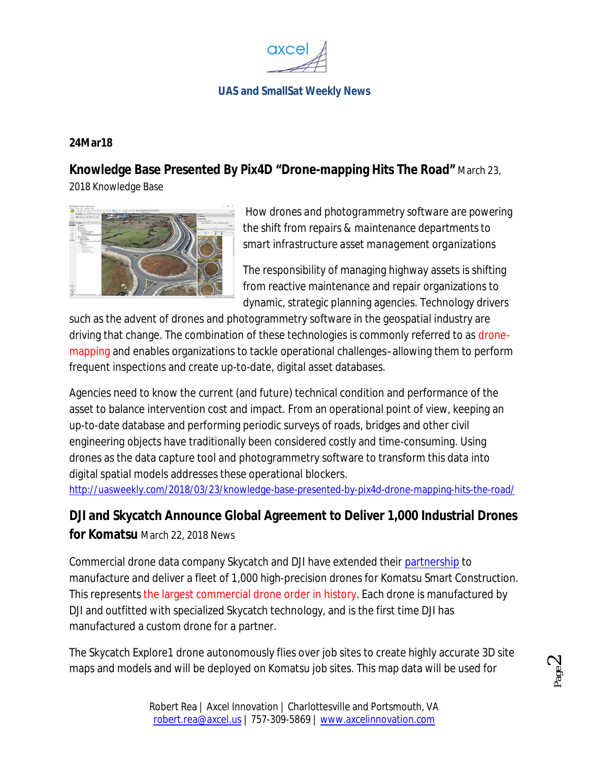

#### **24Mar18**

# **Knowledge Base Presented By Pix4D "Drone-mapping Hits The Road"** March 23,

2018 Knowledge Base



*How drones and photogrammetry software are powering the shift from repairs & maintenance departments to smart infrastructure asset management organizations*

The responsibility of managing highway assets is shifting from reactive maintenance and repair organizations to dynamic, strategic planning agencies. Technology drivers

such as the advent of drones and photogrammetry software in the geospatial industry are driving that change. The combination of these technologies is commonly referred to as dronemapping and enables organizations to tackle operational challenges–allowing them to perform frequent inspections and create up-to-date, digital asset databases.

Agencies need to know the current (and future) technical condition and performance of the asset to balance intervention cost and impact. From an operational point of view, keeping an up-to-date database and performing periodic surveys of roads, bridges and other civil engineering objects have traditionally been considered costly and time-consuming. Using drones as the data capture tool and photogrammetry software to transform this data into digital spatial models addresses these operational blockers.

http://uasweekly.com/2018/03/23/knowledge-base-presented-by-pix4d-drone-mapping-hits-the-road/

**DJI and Skycatch Announce Global Agreement to Deliver 1,000 Industrial Drones for Komatsu** March 22, 2018 News

Commercial drone data company Skycatch and DJI have extended their partnership to manufacture and deliver a fleet of 1,000 high-precision drones for Komatsu Smart Construction. This represents the largest commercial drone order in history. Each drone is manufactured by DJI and outfitted with specialized Skycatch technology, and is the first time DJI has manufactured a custom drone for a partner.

The Skycatch Explore1 drone autonomously flies over job sites to create highly accurate 3D site maps and models and will be deployed on Komatsu job sites. This map data will be used for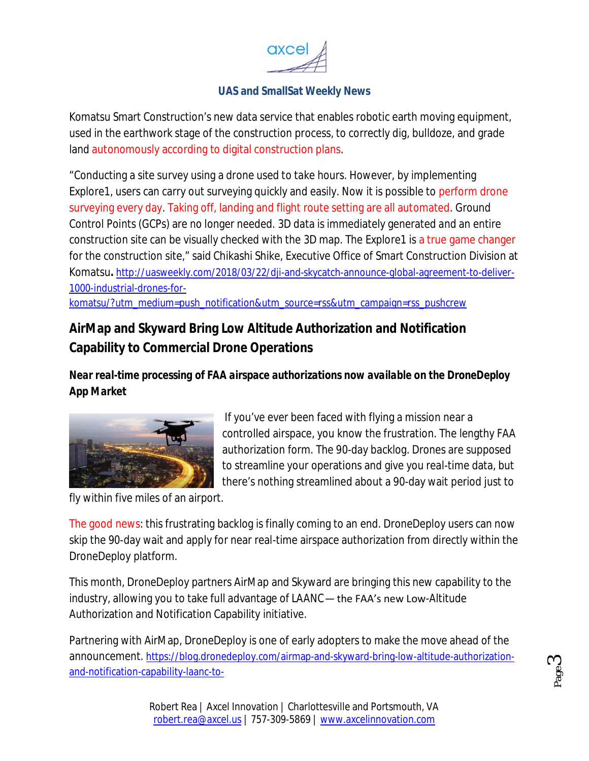

Komatsu Smart Construction's new data service that enables robotic earth moving equipment, used in the earthwork stage of the construction process, to correctly dig, bulldoze, and grade land autonomously according to digital construction plans.

"Conducting a site survey using a drone used to take hours. However, by implementing Explore1, users can carry out surveying quickly and easily. Now it is possible to perform drone surveying every day. Taking off, landing and flight route setting are all automated. Ground Control Points (GCPs) are no longer needed. 3D data is immediately generated and an entire construction site can be visually checked with the 3D map. The Explore1 is a true game changer for the construction site," said Chikashi Shike, Executive Office of Smart Construction Division at Komatsu**.** http://uasweekly.com/2018/03/22/dji-and-skycatch-announce-global-agreement-to-deliver-1000-industrial-drones-for-

komatsu/?utm\_medium=push\_notification&utm\_source=rss&utm\_campaign=rss\_pushcrew

# **AirMap and Skyward Bring Low Altitude Authorization and Notification Capability to Commercial Drone Operations**

*Near real-time processing of FAA airspace authorizations now available on the DroneDeploy App Market*



If you've ever been faced with flying a mission near a controlled airspace, you know the frustration. The lengthy FAA authorization form. The 90-day backlog. Drones are supposed to streamline your operations and give you real-time data, but there's nothing streamlined about a 90-day wait period just to

fly within five miles of an airport.

The good news: this frustrating backlog is finally coming to an end. DroneDeploy users can now skip the 90-day wait and apply for near real-time airspace authorization from directly within the DroneDeploy platform.

This month, DroneDeploy partners AirMap and Skyward are bringing this new capability to the industry, allowing you to take full advantage of LAANC— the FAA's new Low-Altitude Authorization and Notification Capability initiative.

Partnering with AirMap, DroneDeploy is one of early adopters to make the move ahead of the announcement. https://blog.dronedeploy.com/airmap-and-skyward-bring-low-altitude-authorizationand-notification-capability-laanc-to-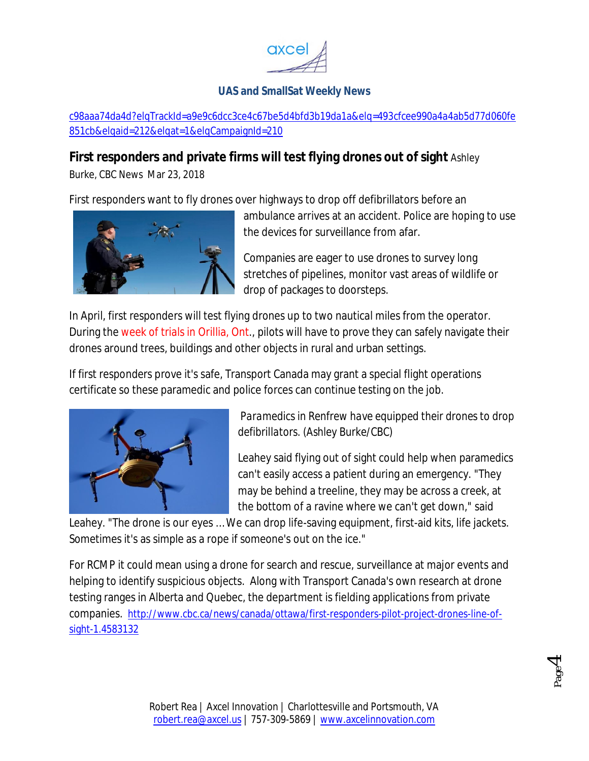

c98aaa74da4d?elqTrackId=a9e9c6dcc3ce4c67be5d4bfd3b19da1a&elq=493cfcee990a4a4ab5d77d060fe 851cb&elqaid=212&elqat=1&elqCampaignId=210

# **First responders and private firms will test flying drones out of sight** Ashley

Burke, CBC News Mar 23, 2018

First responders want to fly drones over highways to drop off defibrillators before an



ambulance arrives at an accident. Police are hoping to use the devices for surveillance from afar.

Companies are eager to use drones to survey long stretches of pipelines, monitor vast areas of wildlife or drop of packages to doorsteps.

In April, first responders will test flying drones up to two nautical miles from the operator. During the week of trials in Orillia, Ont., pilots will have to prove they can safely navigate their drones around trees, buildings and other objects in rural and urban settings.

If first responders prove it's safe, Transport Canada may grant a special flight operations certificate so these paramedic and police forces can continue testing on the job.



*Paramedics in Renfrew have equipped their drones to drop defibrillators. (Ashley Burke/CBC)*

Leahey said flying out of sight could help when paramedics can't easily access a patient during an emergency. "They may be behind a treeline, they may be across a creek, at the bottom of a ravine where we can't get down," said

Leahey. "The drone is our eyes … We can drop life-saving equipment, first-aid kits, life jackets. Sometimes it's as simple as a rope if someone's out on the ice."

For RCMP it could mean using a drone for search and rescue, surveillance at major events and helping to identify suspicious objects. Along with Transport Canada's own research at drone testing ranges in Alberta and Quebec, the department is fielding applications from private companies. http://www.cbc.ca/news/canada/ottawa/first-responders-pilot-project-drones-line-ofsight-1.4583132

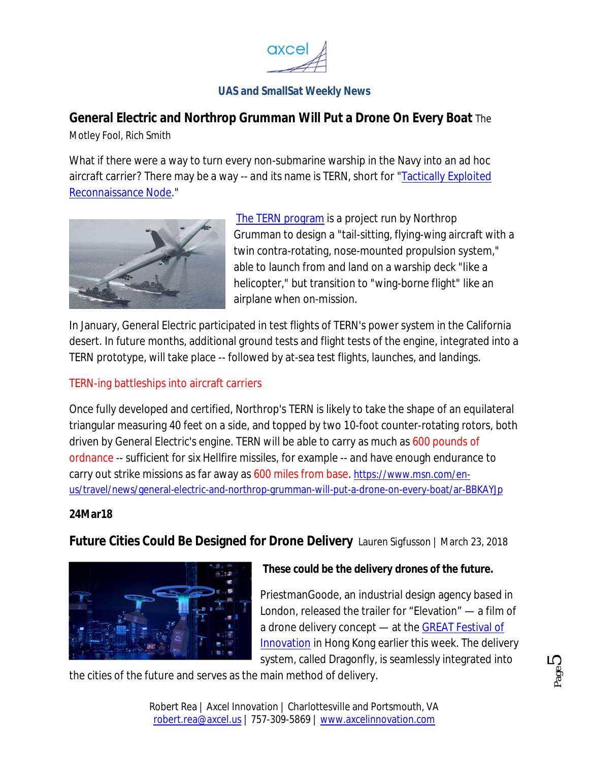

# **General Electric and Northrop Grumman Will Put a Drone On Every Boat** The

Motley Fool, Rich Smith

What if there were a way to turn every non-submarine warship in the Navy into an ad hoc aircraft carrier? There may *be* a way -- and its name is TERN, short for "Tactically Exploited Reconnaissance Node."



The TERN program is a project run by Northrop Grumman to design a "tail-sitting, flying-wing aircraft with a twin contra-rotating, nose-mounted propulsion system," able to launch from and land on a warship deck "like a helicopter," but transition to "wing-borne flight" like an airplane when on-mission.

In January, General Electric participated in test flights of TERN's power system in the California desert. In future months, additional ground tests and flight tests of the engine, integrated into a TERN prototype, will take place -- followed by at-sea test flights, launches, and landings.

#### TERN-ing battleships into aircraft carriers

Once fully developed and certified, Northrop's TERN is likely to take the shape of an equilateral triangular measuring 40 feet on a side, and topped by two 10-foot counter-rotating rotors, both driven by General Electric's engine. TERN will be able to carry as much as 600 pounds of ordnance -- sufficient for six Hellfire missiles, for example -- and have enough endurance to carry out strike missions as far away as 600 miles from base. https://www.msn.com/enus/travel/news/general-electric-and-northrop-grumman-will-put-a-drone-on-every-boat/ar-BBKAYJp

#### **24Mar18**

**Future Cities Could Be Designed for Drone Delivery** Lauren Sigfusson | March 23, 2018



#### *These could be the delivery drones of the future.*

PriestmanGoode, an industrial design agency based in London, released the trailer for "Elevation" — a film of a drone delivery concept — at the GREAT Festival of Innovation in Hong Kong earlier this week. The delivery system, called Dragonfly, is seamlessly integrated into

the cities of the future and serves as the main method of delivery.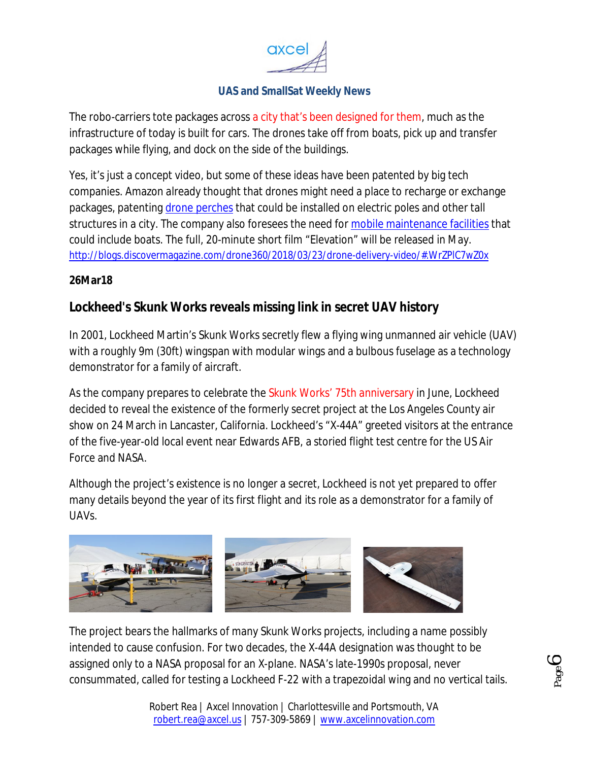

The robo-carriers tote packages across a city that's been designed for them, much as the infrastructure of today is built for cars. The drones take off from boats, pick up and transfer packages while flying, and dock on the side of the buildings.

Yes, it's just a concept video, but some of these ideas have been patented by big tech companies. Amazon already thought that drones might need a place to recharge or exchange packages, patenting drone perches that could be installed on electric poles and other tall structures in a city. The company also foresees the need for mobile maintenance facilities that could include boats. The full, 20-minute short film "Elevation" will be released in May. http://blogs.discovermagazine.com/drone360/2018/03/23/drone-delivery-video/#.WrZPlC7wZ0x

#### **26Mar18**

# **Lockheed's Skunk Works reveals missing link in secret UAV history**

In 2001, Lockheed Martin's Skunk Works secretly flew a flying wing unmanned air vehicle (UAV) with a roughly 9m (30ft) wingspan with modular wings and a bulbous fuselage as a technology demonstrator for a family of aircraft.

As the company prepares to celebrate the Skunk Works' 75th anniversary in June, Lockheed decided to reveal the existence of the formerly secret project at the Los Angeles County air show on 24 March in Lancaster, California. Lockheed's "X-44A" greeted visitors at the entrance of the five-year-old local event near Edwards AFB, a storied flight test centre for the US Air Force and NASA.

Although the project's existence is no longer a secret, Lockheed is not yet prepared to offer many details beyond the year of its first flight and its role as a demonstrator for a family of UAVs.



The project bears the hallmarks of many Skunk Works projects, including a name possibly intended to cause confusion. For two decades, the X-44A designation was thought to be assigned only to a NASA proposal for an X-plane. NASA's late-1990s proposal, never consummated, called for testing a Lockheed F-22 with a trapezoidal wing and no vertical tails.

Page  $\overline{O}$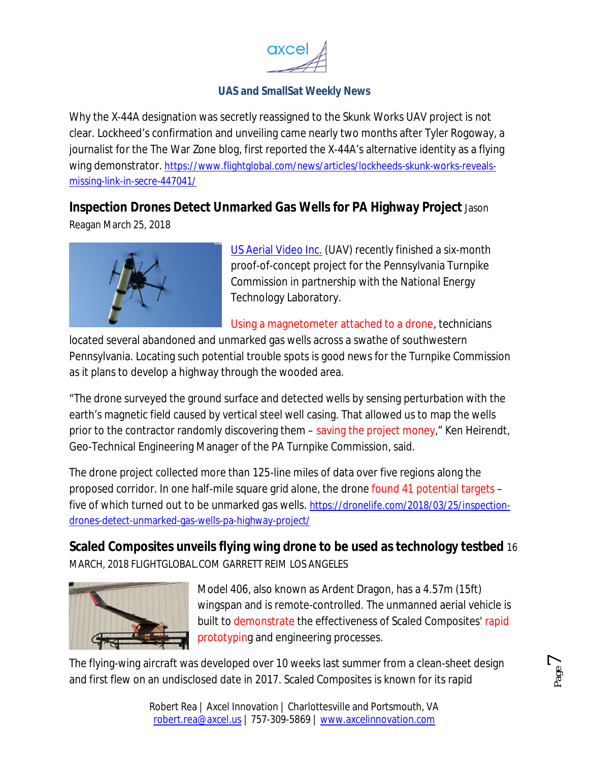

Why the X-44A designation was secretly reassigned to the Skunk Works UAV project is not clear. Lockheed's confirmation and unveiling came nearly two months after Tyler Rogoway, a journalist for the The War Zone blog, first reported the X-44A's alternative identity as a flying wing demonstrator. https://www.flightglobal.com/news/articles/lockheeds-skunk-works-revealsmissing-link-in-secre-447041/

# **Inspection Drones Detect Unmarked Gas Wells for PA Highway Project** Jason

Reagan March 25, 2018



US Aerial Video Inc. (UAV) recently finished a six-month proof-of-concept project for the Pennsylvania Turnpike Commission in partnership with the National Energy Technology Laboratory.

Using a magnetometer attached to a drone, technicians

located several abandoned and unmarked gas wells across a swathe of southwestern Pennsylvania. Locating such potential trouble spots is good news for the Turnpike Commission as it plans to develop a highway through the wooded area.

"The drone surveyed the ground surface and detected wells by sensing perturbation with the earth's magnetic field caused by vertical steel well casing. That allowed us to map the wells prior to the contractor randomly discovering them – saving the project money," Ken Heirendt, Geo-Technical Engineering Manager of the PA Turnpike Commission, said.

The drone project collected more than 125-line miles of data over five regions along the proposed corridor. In one half-mile square grid alone, the drone found 41 potential targets – five of which turned out to be unmarked gas wells. https://dronelife.com/2018/03/25/inspectiondrones-detect-unmarked-gas-wells-pa-highway-project/

**Scaled Composites unveils flying wing drone to be used as technology testbed** 16 MARCH, 2018 FLIGHTGLOBAL.COM GARRETT REIM LOS ANGELES



Model 406, also known as Ardent Dragon, has a 4.57m (15ft) wingspan and is remote-controlled. The unmanned aerial vehicle is built to demonstrate the effectiveness of Scaled Composites' rapid prototyping and engineering processes.

> Page  $\overline{\phantom{0}}$

The flying-wing aircraft was developed over 10 weeks last summer from a clean-sheet design and first flew on an undisclosed date in 2017. Scaled Composites is known for its rapid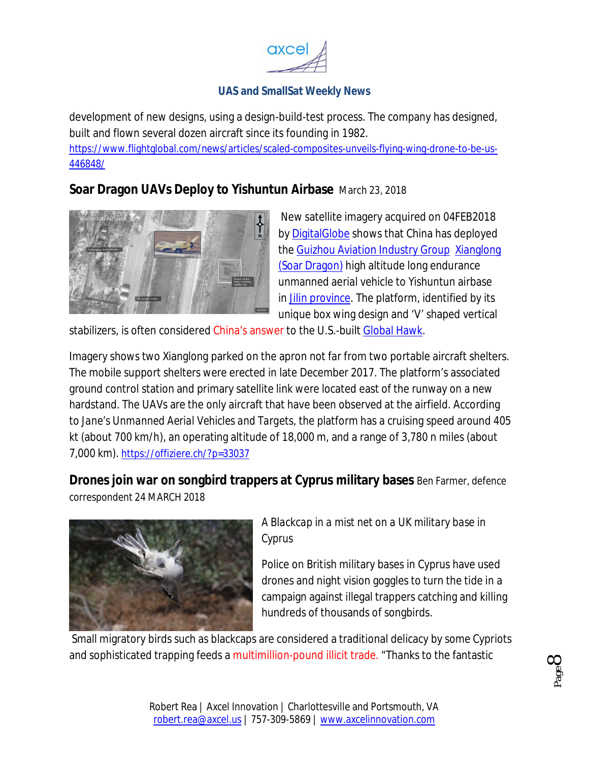

development of new designs, using a design-build-test process. The company has designed, built and flown several dozen aircraft since its founding in 1982.

https://www.flightglobal.com/news/articles/scaled-composites-unveils-flying-wing-drone-to-be-us-446848/

**Soar Dragon UAVs Deploy to Yishuntun Airbase** March 23, 2018



New satellite imagery acquired on 04FEB2018 by DigitalGlobe shows that China has deployed the Guizhou Aviation Industry Group Xianglong (Soar Dragon) high altitude long endurance unmanned aerial vehicle to Yishuntun airbase in Jilin province. The platform, identified by its unique box wing design and 'V' shaped vertical

stabilizers, is often considered China's answer to the U.S.-built Global Hawk.

Imagery shows two Xianglong parked on the apron not far from two portable aircraft shelters. The mobile support shelters were erected in late December 2017. The platform's associated ground control station and primary satellite link were located east of the runway on a new hardstand. The UAVs are the only aircraft that have been observed at the airfield. According to *Jane's Unmanned Aerial Vehicles and Targets*, the platform has a cruising speed around 405 kt (about 700 km/h), an operating altitude of 18,000 m, and a range of 3,780 n miles (about 7,000 km). https://offiziere.ch/?p=33037

**Drones join war on songbird trappers at Cyprus military bases** Ben Farmer, defence

correspondent 24 MARCH 2018



# *A Blackcap in a mist net on a UK military base in Cyprus*

Police on British military bases in Cyprus have used drones and night vision goggles to turn the tide in a campaign against illegal trappers catching and killing hundreds of thousands of songbirds.

Small migratory birds such as blackcaps are considered a traditional delicacy by some Cypriots and sophisticated trapping feeds a multimillion-pound illicit trade. "Thanks to the fantastic

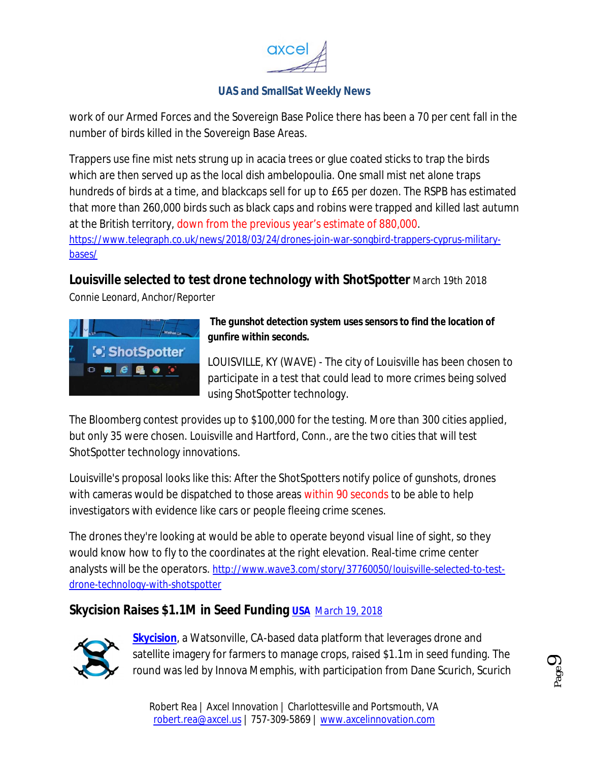

work of our Armed Forces and the Sovereign Base Police there has been a 70 per cent fall in the number of birds killed in the Sovereign Base Areas.

Trappers use fine mist nets strung up in acacia trees or glue coated sticks to trap the birds which are then served up as the local dish ambelopoulia. One small mist net alone traps hundreds of birds at a time, and blackcaps sell for up to £65 per dozen. The RSPB has estimated that more than 260,000 birds such as black caps and robins were trapped and killed last autumn at the British territory, down from the previous year's estimate of 880,000. https://www.telegraph.co.uk/news/2018/03/24/drones-join-war-songbird-trappers-cyprus-militarybases/

**Louisville selected to test drone technology with ShotSpotter** March 19th 2018

Connie Leonard, Anchor/Reporter



#### *The gunshot detection system uses sensors to find the location of gunfire within seconds.*

LOUISVILLE, KY (WAVE) - The city of Louisville has been chosen to participate in a test that could lead to more crimes being solved using ShotSpotter technology.

The Bloomberg contest provides up to \$100,000 for the testing. More than 300 cities applied, but only 35 were chosen. Louisville and Hartford, Conn., are the two cities that will test ShotSpotter technology innovations.

Louisville's proposal looks like this: After the ShotSpotters notify police of gunshots, drones with cameras would be dispatched to those areas within 90 seconds to be able to help investigators with evidence like cars or people fleeing crime scenes.

The drones they're looking at would be able to operate beyond visual line of sight, so they would know how to fly to the coordinates at the right elevation. Real-time crime center analysts will be the operators. http://www.wave3.com/story/37760050/louisville-selected-to-testdrone-technology-with-shotspotter

# **Skycision Raises \$1.1M in Seed Funding USA** *March 19, 2018*



**Skycision**, a Watsonville, CA-based data platform that leverages drone and satellite imagery for farmers to manage crops, raised \$1.1m in seed funding. The round was led by Innova Memphis, with participation from Dane Scurich, Scurich

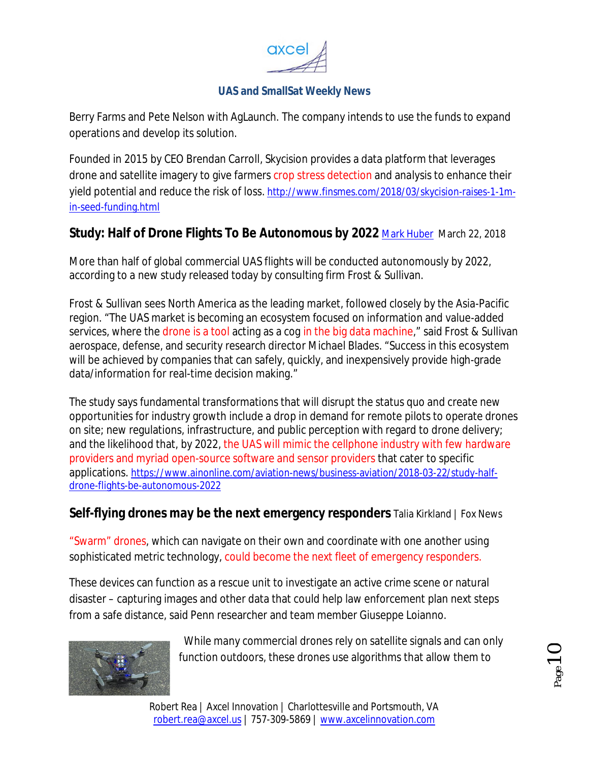

Berry Farms and Pete Nelson with AgLaunch. The company intends to use the funds to expand operations and develop its solution.

Founded in 2015 by CEO Brendan Carroll, Skycision provides a data platform that leverages drone and satellite imagery to give farmers crop stress detection and analysis to enhance their yield potential and reduce the risk of loss. http://www.finsmes.com/2018/03/skycision-raises-1-1min-seed-funding.html

# **Study: Half of Drone Flights To Be Autonomous by 2022 Mark Huber March 22, 2018**

More than half of global commercial UAS flights will be conducted autonomously by 2022, according to a new study released today by consulting firm Frost & Sullivan.

Frost & Sullivan sees North America as the leading market, followed closely by the Asia-Pacific region. "The UAS market is becoming an ecosystem focused on information and value-added services, where the drone is a tool acting as a cog in the big data machine," said Frost & Sullivan aerospace, defense, and security research director Michael Blades. "Success in this ecosystem will be achieved by companies that can safely, quickly, and inexpensively provide high-grade data/information for real-time decision making."

The study says fundamental transformations that will disrupt the status quo and create new opportunities for industry growth include a drop in demand for remote pilots to operate drones on site; new regulations, infrastructure, and public perception with regard to drone delivery; and the likelihood that, by 2022, the UAS will mimic the cellphone industry with few hardware providers and myriad open-source software and sensor providers that cater to specific applications. https://www.ainonline.com/aviation-news/business-aviation/2018-03-22/study-halfdrone-flights-be-autonomous-2022

#### **Self-flying drones may be the next emergency responders** Talia Kirkland | Fox News

"Swarm" drones, which can navigate on their own and coordinate with one another using sophisticated metric technology, could become the next fleet of emergency responders.

These devices can function as a rescue unit to investigate an active crime scene or natural disaster – capturing images and other data that could help law enforcement plan next steps from a safe distance, said Penn researcher and team member Giuseppe Loianno.



While many commercial drones rely on satellite signals and can only function outdoors, these drones use algorithms that allow them to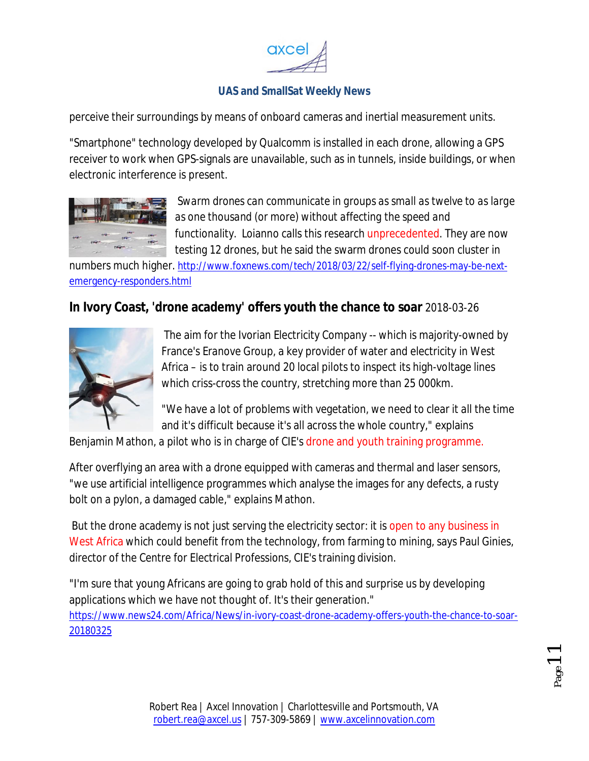

perceive their surroundings by means of onboard cameras and inertial measurement units.

"Smartphone" technology developed by Qualcomm is installed in each drone, allowing a GPS receiver to work when GPS-signals are unavailable, such as in tunnels, inside buildings, or when electronic interference is present.



*Swarm drones can communicate in groups as small as twelve to as large as one thousand (or more) without affecting the speed and functionality.* Loianno calls this research unprecedented. They are now testing 12 drones, but he said the swarm drones could soon cluster in

numbers much higher. http://www.foxnews.com/tech/2018/03/22/self-flying-drones-may-be-nextemergency-responders.html

# **In Ivory Coast, 'drone academy' offers youth the chance to soar** 2018-03-26



The aim for the Ivorian Electricity Company -- which is majority-owned by France's Eranove Group, a key provider of water and electricity in West Africa – is to train around 20 local pilots to inspect its high-voltage lines which criss-cross the country, stretching more than 25 000km.

"We have a lot of problems with vegetation, we need to clear it all the time and it's difficult because it's all across the whole country," explains

Benjamin Mathon, a pilot who is in charge of CIE's drone and youth training programme.

After overflying an area with a drone equipped with cameras and thermal and laser sensors, "we use artificial intelligence programmes which analyse the images for any defects, a rusty bolt on a pylon, a damaged cable," explains Mathon.

But the drone academy is not just serving the electricity sector: it is open to any business in West Africa which could benefit from the technology, from farming to mining, says Paul Ginies, director of the Centre for Electrical Professions, CIE's training division.

"I'm sure that young Africans are going to grab hold of this and surprise us by developing applications which we have not thought of. It's their generation." https://www.news24.com/Africa/News/in-ivory-coast-drone-academy-offers-youth-the-chance-to-soar-20180325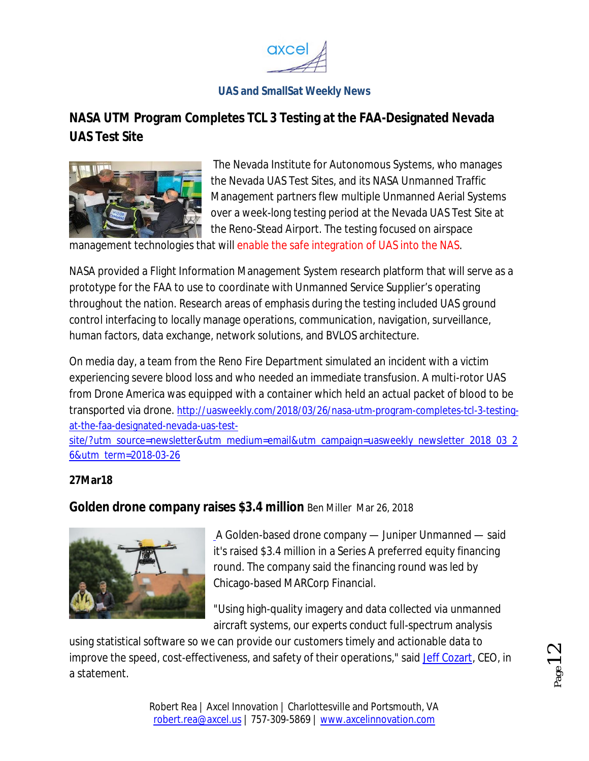

# **NASA UTM Program Completes TCL 3 Testing at the FAA-Designated Nevada UAS Test Site**



The Nevada Institute for Autonomous Systems, who manages the Nevada UAS Test Sites, and its NASA Unmanned Traffic Management partners flew multiple Unmanned Aerial Systems over a week-long testing period at the Nevada UAS Test Site at the Reno-Stead Airport. The testing focused on airspace

management technologies that will enable the safe integration of UAS into the NAS.

NASA provided a Flight Information Management System research platform that will serve as a prototype for the FAA to use to coordinate with Unmanned Service Supplier's operating throughout the nation. Research areas of emphasis during the testing included UAS ground control interfacing to locally manage operations, communication, navigation, surveillance, human factors, data exchange, network solutions, and BVLOS architecture.

On media day, a team from the Reno Fire Department simulated an incident with a victim experiencing severe blood loss and who needed an immediate transfusion. A multi-rotor UAS from Drone America was equipped with a container which held an actual packet of blood to be transported via drone. http://uasweekly.com/2018/03/26/nasa-utm-program-completes-tcl-3-testingat-the-faa-designated-nevada-uas-test-

site/?utm\_source=newsletter&utm\_medium=email&utm\_campaign=uasweekly\_newsletter\_2018\_03\_2 6&utm\_term=2018-03-26

#### **27Mar18**

**Golden drone company raises \$3.4 million** Ben Miller Mar 26, 2018



A Golden-based drone company — Juniper Unmanned — said it's raised \$3.4 million in a Series A preferred equity financing round. The company said the financing round was led by Chicago-based MARCorp Financial.

"Using high-quality imagery and data collected via unmanned aircraft systems, our experts conduct full-spectrum analysis

using statistical software so we can provide our customers timely and actionable data to improve the speed, cost-effectiveness, and safety of their operations," said Jeff Cozart, CEO, in a statement.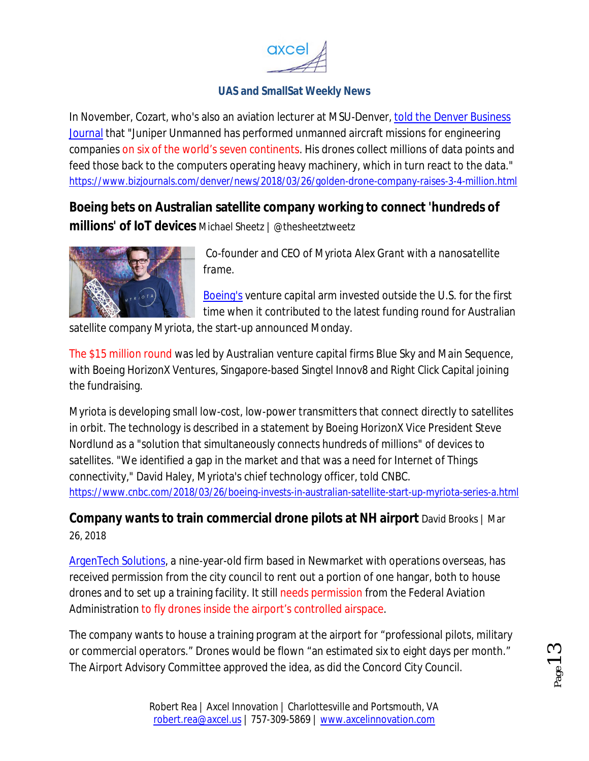

In November, Cozart, who's also an aviation lecturer at MSU-Denver, told the Denver Business Journal that "Juniper Unmanned has performed unmanned aircraft missions for engineering companies on six of the world's seven continents. His drones collect millions of data points and feed those back to the computers operating heavy machinery, which in turn react to the data." https://www.bizjournals.com/denver/news/2018/03/26/golden-drone-company-raises-3-4-million.html

**Boeing bets on Australian satellite company working to connect 'hundreds of millions' of IoT devices** Michael Sheetz | @thesheetztweetz



*Co-founder and CEO of Myriota Alex Grant with a nanosatellite frame.*

Boeing's venture capital arm invested outside the U.S. for the first time when it contributed to the latest funding round for Australian

satellite company Myriota, the start-up announced Monday.

The \$15 million round was led by Australian venture capital firms Blue Sky and Main Sequence, with Boeing HorizonX Ventures, Singapore-based Singtel Innov8 and Right Click Capital joining the fundraising.

Myriota is developing small low-cost, low-power transmitters that connect directly to satellites in orbit. The technology is described in a statement by Boeing HorizonX Vice President Steve Nordlund as a "solution that simultaneously connects hundreds of millions" of devices to satellites. "We identified a gap in the market and that was a need for Internet of Things connectivity," David Haley, Myriota's chief technology officer, told CNBC. https://www.cnbc.com/2018/03/26/boeing-invests-in-australian-satellite-start-up-myriota-series-a.html

**Company wants to train commercial drone pilots at NH airport** David Brooks | Mar 26, 2018

ArgenTech Solutions, a nine-year-old firm based in Newmarket with operations overseas, has received permission from the city council to rent out a portion of one hangar, both to house drones and to set up a training facility. It still needs permission from the Federal Aviation Administration to fly drones inside the airport's controlled airspace.

The company wants to house a training program at the airport for "professional pilots, military or commercial operators." Drones would be flown "an estimated six to eight days per month." The Airport Advisory Committee approved the idea, as did the Concord City Council.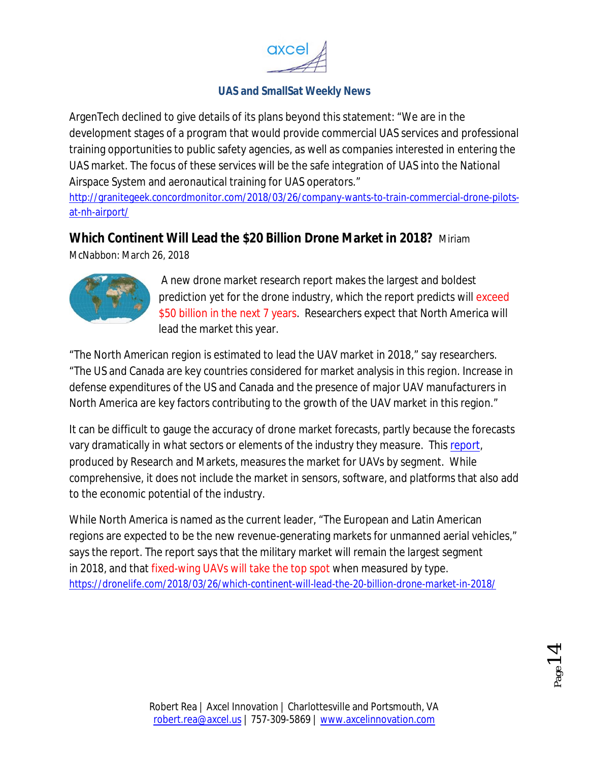

ArgenTech declined to give details of its plans beyond this statement: "We are in the development stages of a program that would provide commercial UAS services and professional training opportunities to public safety agencies, as well as companies interested in entering the UAS market. The focus of these services will be the safe integration of UAS into the National Airspace System and aeronautical training for UAS operators."

http://granitegeek.concordmonitor.com/2018/03/26/company-wants-to-train-commercial-drone-pilotsat-nh-airport/

# **Which Continent Will Lead the \$20 Billion Drone Market in 2018?** Miriam

McNabbon: March 26, 2018



A new drone market research report makes the largest and boldest prediction yet for the drone industry, which the report predicts will exceed \$50 billion in the next 7 years. Researchers expect that North America will lead the market this year.

"The North American region is estimated to lead the UAV market in 2018," say researchers. "The US and Canada are key countries considered for market analysis in this region. Increase in defense expenditures of the US and Canada and the presence of major UAV manufacturers in North America are key factors contributing to the growth of the UAV market in this region."

It can be difficult to gauge the accuracy of drone market forecasts, partly because the forecasts vary dramatically in what sectors or elements of the industry they measure. This report, produced by Research and Markets, measures the market for UAVs by segment. While comprehensive, it does not include the market in sensors, software, and platforms that also add to the economic potential of the industry.

While North America is named as the current leader, "The European and Latin American regions are expected to be the new revenue-generating markets for unmanned aerial vehicles," says the report. The report says that the military market will remain the largest segment in 2018, and that fixed-wing UAVs will take the top spot when measured by type. https://dronelife.com/2018/03/26/which-continent-will-lead-the-20-billion-drone-market-in-2018/

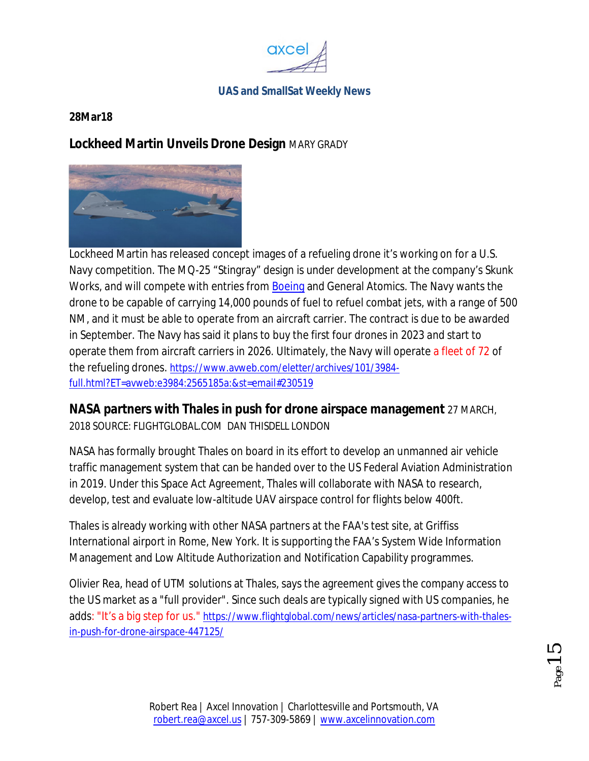

#### **28Mar18**

### **Lockheed Martin Unveils Drone Design** MARY GRADY



Lockheed Martin has released concept images of a refueling drone it's working on for a U.S. Navy competition. The MQ-25 "Stingray" design is under development at the company's Skunk Works, and will compete with entries from Boeing and General Atomics. The Navy wants the drone to be capable of carrying 14,000 pounds of fuel to refuel combat jets, with a range of 500 NM, and it must be able to operate from an aircraft carrier. The contract is due to be awarded in September. The Navy has said it plans to buy the first four drones in 2023 and start to operate them from aircraft carriers in 2026. Ultimately, the Navy will operate a fleet of 72 of the refueling drones. https://www.avweb.com/eletter/archives/101/3984 full.html?ET=avweb:e3984:2565185a:&st=email#230519

#### **NASA partners with Thales in push for drone airspace management** 27 MARCH,

2018 SOURCE: FLIGHTGLOBAL.COM DAN THISDELL LONDON

NASA has formally brought Thales on board in its effort to develop an unmanned air vehicle traffic management system that can be handed over to the US Federal Aviation Administration in 2019. Under this Space Act Agreement, Thales will collaborate with NASA to research, develop, test and evaluate low-altitude UAV airspace control for flights below 400ft.

Thales is already working with other NASA partners at the FAA's test site, at Griffiss International airport in Rome, New York. It is supporting the FAA's System Wide Information Management and Low Altitude Authorization and Notification Capability programmes.

Olivier Rea, head of UTM solutions at Thales, says the agreement gives the company access to the US market as a "full provider". Since such deals are typically signed with US companies, he adds: "It's a big step for us." https://www.flightglobal.com/news/articles/nasa-partners-with-thalesin-push-for-drone-airspace-447125/

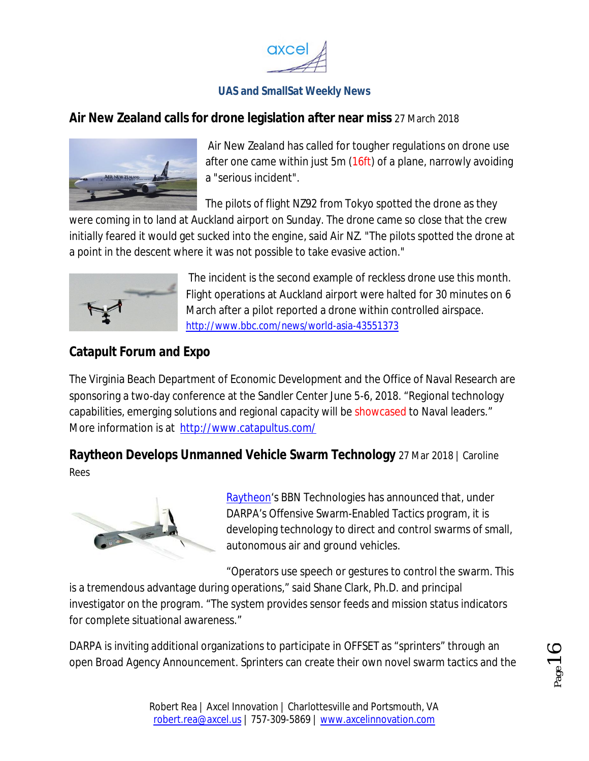

#### **Air New Zealand calls for drone legislation after near miss** 27 March 2018



Air New Zealand has called for tougher regulations on drone use after one came within just 5m (16ft) of a plane, narrowly avoiding a "serious incident".

The pilots of flight NZ92 from Tokyo spotted the drone as they

were coming in to land at Auckland airport on Sunday. The drone came so close that the crew initially feared it would get sucked into the engine, said Air NZ. "The pilots spotted the drone at a point in the descent where it was not possible to take evasive action."



The incident is the second example of reckless drone use this month. Flight operations at Auckland airport were halted for 30 minutes on 6 March after a pilot reported a drone within controlled airspace. http://www.bbc.com/news/world-asia-43551373

# **Catapult Forum and Expo**

The Virginia Beach Department of Economic Development and the Office of Naval Research are sponsoring a two-day conference at the Sandler Center June 5-6, 2018. "Regional technology capabilities, emerging solutions and regional capacity will be showcased to Naval leaders." More information is at http://www.catapultus.com/

**Raytheon Develops Unmanned Vehicle Swarm Technology** 27 Mar 2018 | Caroline Rees



Raytheon's BBN Technologies has announced that, under DARPA's Offensive Swarm-Enabled Tactics program, it is developing technology to direct and control swarms of small, autonomous air and ground vehicles.

"Operators use speech or gestures to control the swarm. This is a tremendous advantage during operations," said Shane Clark, Ph.D. and principal investigator on the program. "The system provides sensor feeds and mission status indicators for complete situational awareness."

DARPA is inviting additional organizations to participate in OFFSET as "sprinters" through an open Broad Agency Announcement. Sprinters can create their own novel swarm tactics and the

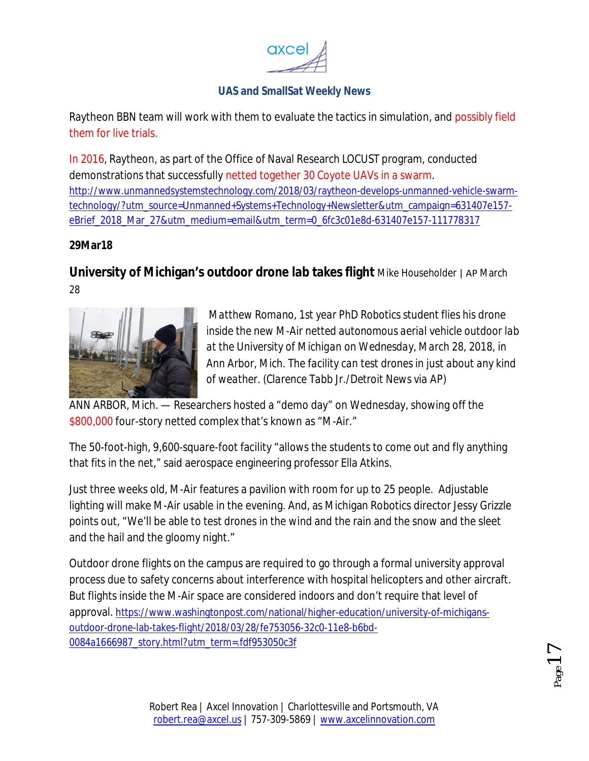

Raytheon BBN team will work with them to evaluate the tactics in simulation, and possibly field them for live trials.

In 2016, Raytheon, as part of the Office of Naval Research LOCUST program, conducted demonstrations that successfully netted together 30 Coyote UAVs in a swarm. http://www.unmannedsystemstechnology.com/2018/03/raytheon-develops-unmanned-vehicle-swarmtechnology/?utm\_source=Unmanned+Systems+Technology+Newsletter&utm\_campaign=631407e157 eBrief\_2018\_Mar\_27&utm\_medium=email&utm\_term=0\_6fc3c01e8d-631407e157-111778317

#### **29Mar18**

**University of Michigan's outdoor drone lab takes flight** Mike Householder | AP March 28



*Matthew Romano, 1st year PhD Robotics student flies his drone inside the new M-Air netted autonomous aerial vehicle outdoor lab at the University of Michigan on Wednesday, March 28, 2018, in Ann Arbor, Mich. The facility can test drones in just about any kind of weather. (Clarence Tabb Jr./Detroit News via AP)*

ANN ARBOR, Mich. — Researchers hosted a "demo day" on Wednesday, showing off the \$800,000 four-story netted complex that's known as "M-Air."

The 50-foot-high, 9,600-square-foot facility "allows the students to come out and fly anything that fits in the net," said aerospace engineering professor Ella Atkins.

Just three weeks old, M-Air features a pavilion with room for up to 25 people. Adjustable lighting will make M-Air usable in the evening. And, as Michigan Robotics director Jessy Grizzle points out, "We'll be able to test drones in the wind and the rain and the snow and the sleet and the hail and the gloomy night."

Outdoor drone flights on the campus are required to go through a formal university approval process due to safety concerns about interference with hospital helicopters and other aircraft. But flights inside the M-Air space are considered indoors and don't require that level of approval. https://www.washingtonpost.com/national/higher-education/university-of-michigansoutdoor-drone-lab-takes-flight/2018/03/28/fe753056-32c0-11e8-b6bd-0084a1666987\_story.html?utm\_term=.fdf953050c3f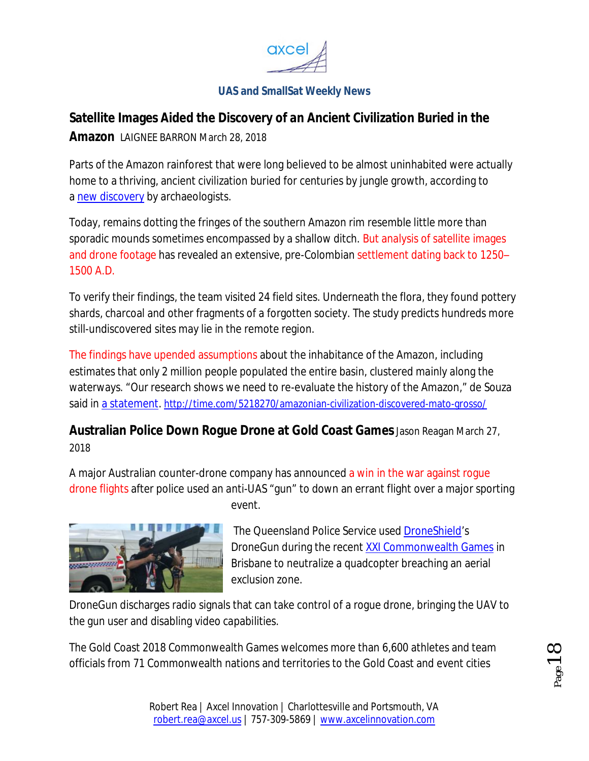

# **Satellite Images Aided the Discovery of an Ancient Civilization Buried in the**

**Amazon** LAIGNEE BARRON March 28, 2018

Parts of the Amazon rainforest that were long believed to be almost uninhabited were actually home to a thriving, ancient civilization buried for centuries by jungle growth, according to a new discovery by archaeologists.

Today, remains dotting the fringes of the southern Amazon rim resemble little more than sporadic mounds sometimes encompassed by a shallow ditch. But analysis of satellite images and drone footage has revealed an extensive, pre-Colombian settlement dating back to 1250– 1500 A.D.

To verify their findings, the team visited 24 field sites. Underneath the flora, they found pottery shards, charcoal and other fragments of a forgotten society. The study predicts hundreds more still-undiscovered sites may lie in the remote region.

The findings have upended assumptions about the inhabitance of the Amazon, including estimates that only 2 million people populated the entire basin, clustered mainly along the waterways. "Our research shows we need to re-evaluate the history of the Amazon," de Souza said in a statement. http://time.com/5218270/amazonian-civilization-discovered-mato-grosso/

**Australian Police Down Rogue Drone at Gold Coast Games**Jason Reagan March 27, 2018

A major Australian counter-drone company has announced a win in the war against rogue drone flights after police used an anti-UAS "gun" to down an errant flight over a major sporting event.



The Queensland Police Service used DroneShield's DroneGun during the recent XXI Commonwealth Games in Brisbane to neutralize a quadcopter breaching an aerial exclusion zone.

DroneGun discharges radio signals that can take control of a rogue drone, bringing the UAV to the gun user and disabling video capabilities.

The Gold Coast 2018 Commonwealth Games welcomes more than 6,600 athletes and team officials from 71 Commonwealth nations and territories to the Gold Coast and event cities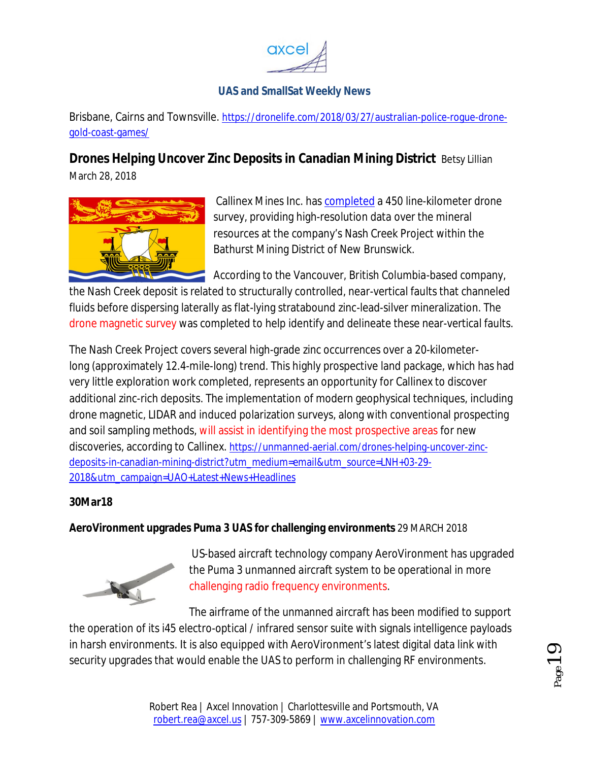

Brisbane, Cairns and Townsville. https://dronelife.com/2018/03/27/australian-police-rogue-dronegold-coast-games/

# **Drones Helping Uncover Zinc Deposits in Canadian Mining District** Betsy Lillian

March 28, 2018



Callinex Mines Inc. has completed a 450 line-kilometer drone survey, providing high-resolution data over the mineral resources at the company's Nash Creek Project within the Bathurst Mining District of New Brunswick.

According to the Vancouver, British Columbia-based company,

the Nash Creek deposit is related to structurally controlled, near-vertical faults that channeled fluids before dispersing laterally as flat-lying stratabound zinc-lead-silver mineralization. The drone magnetic survey was completed to help identify and delineate these near-vertical faults.

The Nash Creek Project covers several high-grade zinc occurrences over a 20-kilometerlong (approximately 12.4-mile-long) trend. This highly prospective land package, which has had very little exploration work completed, represents an opportunity for Callinex to discover additional zinc-rich deposits. The implementation of modern geophysical techniques, including drone magnetic, LIDAR and induced polarization surveys, along with conventional prospecting and soil sampling methods, will assist in identifying the most prospective areas for new discoveries, according to Callinex. https://unmanned-aerial.com/drones-helping-uncover-zincdeposits-in-canadian-mining-district?utm\_medium=email&utm\_source=LNH+03-29- 2018&utm\_campaign=UAO+Latest+News+Headlines

#### **30Mar18**

#### **AeroVironment upgrades Puma 3 UAS for challenging environments** 29 MARCH 2018



US-based aircraft technology company AeroVironment has upgraded the Puma 3 unmanned aircraft system to be operational in more challenging radio frequency environments.

The airframe of the unmanned aircraft has been modified to support the operation of its i45 electro-optical / infrared sensor suite with signals intelligence payloads in harsh environments. It is also equipped with AeroVironment's latest digital data link with security upgrades that would enable the UAS to perform in challenging RF environments.